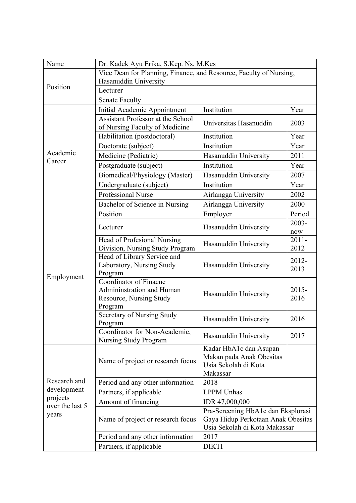| Name                                                                | Dr. Kadek Ayu Erika, S.Kep. Ns. M.Kes                               |                                                  |          |
|---------------------------------------------------------------------|---------------------------------------------------------------------|--------------------------------------------------|----------|
|                                                                     | Vice Dean for Planning, Finance, and Resource, Faculty of Nursing,  |                                                  |          |
| Position                                                            | Hasanuddin University                                               |                                                  |          |
|                                                                     | Lecturer                                                            |                                                  |          |
|                                                                     | <b>Senate Faculty</b>                                               |                                                  |          |
|                                                                     | Initial Academic Appointment                                        | Institution                                      | Year     |
|                                                                     | Assistant Professor at the School<br>of Nursing Faculty of Medicine | Universitas Hasanuddin                           | 2003     |
|                                                                     | Habilitation (postdoctoral)                                         | Institution                                      | Year     |
|                                                                     | Doctorate (subject)                                                 | Institution                                      | Year     |
| Academic                                                            | Medicine (Pediatric)                                                | Hasanuddin University                            | 2011     |
| Career                                                              | Postgraduate (subject)                                              | Institution                                      | Year     |
|                                                                     | Biomedical/Physiology (Master)                                      | Hasanuddin University                            | 2007     |
|                                                                     | Undergraduate (subject)                                             | Institution                                      | Year     |
|                                                                     | Professional Nurse                                                  | Airlangga University                             | 2002     |
|                                                                     | Bachelor of Science in Nursing                                      | Airlangga University                             | 2000     |
|                                                                     | Position                                                            |                                                  | Period   |
|                                                                     |                                                                     | Employer                                         | $2003 -$ |
|                                                                     | Lecturer                                                            | Hasanuddin University                            | now      |
|                                                                     | Head of Profesional Nursing                                         |                                                  | $2011 -$ |
|                                                                     | Division, Nursing Study Program                                     | Hasanuddin University                            | 2012     |
|                                                                     | Head of Library Service and                                         |                                                  | 2012-    |
|                                                                     | Laboratory, Nursing Study                                           | Hasanuddin University                            | 2013     |
| Employment                                                          | Program                                                             |                                                  |          |
|                                                                     | Coordinator of Finacne<br>Admininstration and Human                 |                                                  | $2015 -$ |
|                                                                     | Resource, Nursing Study                                             | Hasanuddin University                            | 2016     |
|                                                                     | Program                                                             |                                                  |          |
|                                                                     | Secretary of Nursing Study                                          |                                                  |          |
|                                                                     | Program                                                             | Hasanuddin University                            | 2016     |
|                                                                     | Coordinator for Non-Academic,                                       | Hasanuddin University                            | 2017     |
|                                                                     | Nursing Study Program                                               |                                                  |          |
|                                                                     |                                                                     | Kadar HbA1c dan Asupan                           |          |
|                                                                     | Name of project or research focus                                   | Makan pada Anak Obesitas<br>Usia Sekolah di Kota |          |
| Research and<br>development<br>projects<br>over the last 5<br>years |                                                                     | Makassar                                         |          |
|                                                                     | Period and any other information                                    | 2018                                             |          |
|                                                                     | Partners, if applicable                                             | <b>LPPM</b> Unhas                                |          |
|                                                                     | Amount of financing                                                 | IDR 47,000,000                                   |          |
|                                                                     |                                                                     | Pra-Screening HbA1c dan Eksplorasi               |          |
|                                                                     | Name of project or research focus                                   | Gaya Hidup Perkotaan Anak Obesitas               |          |
|                                                                     |                                                                     | Usia Sekolah di Kota Makassar                    |          |
|                                                                     | Period and any other information                                    | 2017                                             |          |
|                                                                     | Partners, if applicable                                             | <b>DIKTI</b>                                     |          |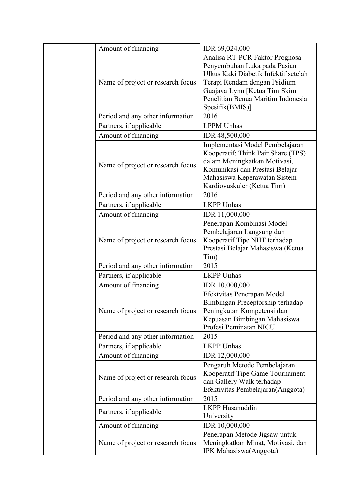| Amount of financing               | IDR 69,024,000                                                                                                                                                                                                                  |  |  |
|-----------------------------------|---------------------------------------------------------------------------------------------------------------------------------------------------------------------------------------------------------------------------------|--|--|
| Name of project or research focus | Analisa RT-PCR Faktor Prognosa<br>Penyembuhan Luka pada Pasian<br>Ulkus Kaki Diabetik Infektif setelah<br>Terapi Rendam dengan Psidium<br>Guajava Lynn [Ketua Tim Skim<br>Penelitian Benua Maritim Indonesia<br>Spesifik(BMIS)] |  |  |
| Period and any other information  | 2016                                                                                                                                                                                                                            |  |  |
| Partners, if applicable           | <b>LPPM</b> Unhas                                                                                                                                                                                                               |  |  |
| Amount of financing               | IDR 48,500,000                                                                                                                                                                                                                  |  |  |
| Name of project or research focus | Implementasi Model Pembelajaran<br>Kooperatif: Think Pair Share (TPS)<br>dalam Meningkatkan Motivasi,<br>Komunikasi dan Prestasi Belajar<br>Mahasiswa Keperawatan Sistem<br>Kardiovaskuler (Ketua Tim)                          |  |  |
| Period and any other information  | 2016                                                                                                                                                                                                                            |  |  |
| Partners, if applicable           | <b>LKPP Unhas</b>                                                                                                                                                                                                               |  |  |
| Amount of financing               | IDR 11,000,000                                                                                                                                                                                                                  |  |  |
| Name of project or research focus | Penerapan Kombinasi Model<br>Pembelajaran Langsung dan<br>Kooperatif Tipe NHT terhadap<br>Prestasi Belajar Mahasiswa (Ketua<br>Tim)                                                                                             |  |  |
| Period and any other information  | 2015                                                                                                                                                                                                                            |  |  |
| Partners, if applicable           | <b>LKPP Unhas</b>                                                                                                                                                                                                               |  |  |
| Amount of financing               | IDR 10,000,000                                                                                                                                                                                                                  |  |  |
| Name of project or research focus | Efektvitas Penerapan Model<br>Bimbingan Preceptorship terhadap<br>Peningkatan Kompetensi dan<br>Kepuasan Bimbingan Mahasiswa<br>Profesi Peminatan NICU                                                                          |  |  |
| Period and any other information  | 2015                                                                                                                                                                                                                            |  |  |
| Partners, if applicable           | <b>LKPP Unhas</b>                                                                                                                                                                                                               |  |  |
| Amount of financing               | IDR 12,000,000                                                                                                                                                                                                                  |  |  |
| Name of project or research focus | Pengaruh Metode Pembelajaran<br>Kooperatif Tipe Game Tournament<br>dan Gallery Walk terhadap<br>Efektivitas Pembelajaran(Anggota)                                                                                               |  |  |
| Period and any other information  | 2015                                                                                                                                                                                                                            |  |  |
| Partners, if applicable           | <b>LKPP</b> Hasanuddin<br>University                                                                                                                                                                                            |  |  |
| Amount of financing               | IDR 10,000,000                                                                                                                                                                                                                  |  |  |
| Name of project or research focus | Penerapan Metode Jigsaw untuk<br>Meningkatkan Minat, Motivasi, dan<br><b>IPK</b> Mahasiswa(Anggota)                                                                                                                             |  |  |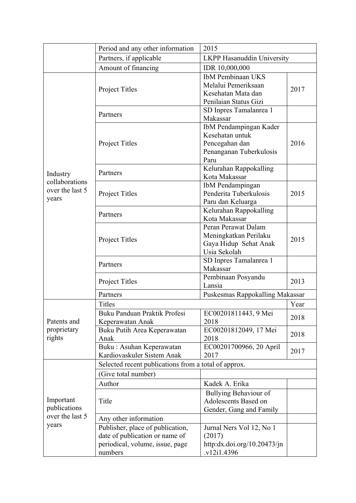|                                                       | Period and any other information                     | 2015                                           |      |
|-------------------------------------------------------|------------------------------------------------------|------------------------------------------------|------|
|                                                       | Partners, if applicable                              | <b>LKPP Hasanuddin University</b>              |      |
|                                                       | Amount of financing                                  | IDR 10,000,000                                 |      |
|                                                       |                                                      | <b>IbM</b> Pembinaan UKS                       |      |
|                                                       |                                                      | Melalui Pemeriksaan                            |      |
|                                                       | <b>Project Titles</b>                                | Kesehatan Mata dan                             | 2017 |
|                                                       |                                                      | Penilaian Status Gizi                          |      |
|                                                       | Partners                                             | SD Inpres Tamalanrea 1                         |      |
|                                                       |                                                      | Makassar                                       |      |
|                                                       |                                                      | IbM Pendampingan Kader                         |      |
|                                                       |                                                      | Kesehatan untuk                                |      |
|                                                       | <b>Project Titles</b>                                | Pencegahan dan                                 | 2016 |
|                                                       |                                                      | Penanganan Tuberkulosis                        |      |
|                                                       |                                                      | Paru                                           |      |
| Industry                                              | Partners                                             | Kelurahan Rappokalling                         |      |
| collaborations                                        |                                                      | Kota Makassar                                  |      |
| over the last 5                                       |                                                      | IbM Pendampingan                               |      |
| years                                                 | <b>Project Titles</b>                                | Penderita Tuberkulosis                         | 2015 |
|                                                       |                                                      | Paru dan Keluarga                              |      |
|                                                       | Partners                                             | Kelurahan Rappokalling<br>Kota Makassar        |      |
|                                                       |                                                      |                                                |      |
|                                                       |                                                      | Peran Perawat Dalam                            |      |
|                                                       | <b>Project Titles</b>                                | Meningkatkan Perilaku<br>Gaya Hidup Sehat Anak | 2015 |
|                                                       |                                                      | Usia Sekolah                                   |      |
|                                                       |                                                      | SD Inpres Tamalanrea 1                         |      |
|                                                       | Partners                                             | Makassar                                       |      |
|                                                       |                                                      | Pembinaan Posyandu                             |      |
|                                                       | <b>Project Titles</b>                                | Lansia                                         | 2013 |
|                                                       | Partners                                             | Puskesmas Rappokalling Makassar                |      |
|                                                       | <b>Titles</b>                                        | Year                                           |      |
|                                                       | Buku Panduan Praktik Profesi                         | EC00201811443, 9 Mei                           |      |
| Patents and                                           | Keperawatan Anak                                     | 2018                                           | 2018 |
| proprietary                                           | Buku Putih Area Keperawatan                          | EC00201812049, 17 Mei                          |      |
| rights                                                | Anak                                                 | 2018                                           | 2018 |
|                                                       | Buku: Asuhan Keperawatan                             | EC00201700966, 20 April                        | 2017 |
|                                                       | Kardiovaskuler Sistem Anak                           | 2017                                           |      |
|                                                       | Selected recent publications from a total of approx. |                                                |      |
|                                                       | Give total number)                                   |                                                |      |
|                                                       | Author                                               | Kadek A. Erika                                 |      |
|                                                       |                                                      | Bullying Behaviour of                          |      |
| Important<br>publications<br>over the last 5<br>years | Title                                                | Adolescents Based on                           |      |
|                                                       |                                                      | Gender, Gang and Family                        |      |
|                                                       | Any other information                                |                                                |      |
|                                                       | Publisher, place of publication,                     | Jurnal Ners Vol 12, No 1                       |      |
|                                                       | date of publication or name of                       | (2017)                                         |      |
|                                                       | periodical, volume, issue, page                      | http:dx.doi.org/10.20473/jn                    |      |
|                                                       | numbers                                              | v12i1.4396                                     |      |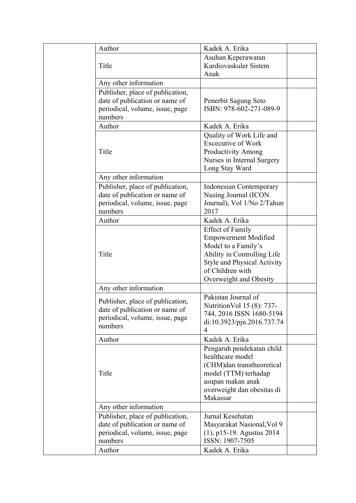| Author                                                                                                           | Kadek A. Erika                                                                                                                                                                            |  |
|------------------------------------------------------------------------------------------------------------------|-------------------------------------------------------------------------------------------------------------------------------------------------------------------------------------------|--|
| Title                                                                                                            | Asuhan Keperawatan<br>Kardiovaskuler Sistem<br>Anak                                                                                                                                       |  |
| Any other information                                                                                            |                                                                                                                                                                                           |  |
| Publisher, place of publication,<br>date of publication or name of<br>periodical, volume, issue, page<br>numbers | Penerbit Sagung Seto<br>ISBN: 978-602-271-089-9                                                                                                                                           |  |
| Author                                                                                                           | Kadek A. Erika                                                                                                                                                                            |  |
| Title                                                                                                            | Quality of Work Life and<br><b>Excecutive of Work</b><br><b>Productivity Among</b><br>Nurses in Internal Surgery<br>Long Stay Ward                                                        |  |
| Any other information                                                                                            |                                                                                                                                                                                           |  |
| Publisher, place of publication,<br>date of publication or name of<br>periodical, volume, issue, page<br>numbers | <b>Indonesian Contemporary</b><br>Nusing Journal (ICON<br>Journal), Vol 1/No 2/Tahun<br>2017                                                                                              |  |
| Author                                                                                                           | Kadek A. Erika                                                                                                                                                                            |  |
| Title                                                                                                            | <b>Effect of Family</b><br><b>Empowerment Modified</b><br>Model to a Family's<br>Ability in Controlling Life<br>Style and Physical Activity<br>of Children with<br>Overweight and Obesity |  |
| Any other information                                                                                            |                                                                                                                                                                                           |  |
| Publisher, place of publication,<br>date of publication or name of<br>periodical, volume, issue, page<br>numbers | Pakistan Journal of<br>Nutrition Vol 15 (8): 737-<br>744, 2016 ISSN 1680-5194<br>di:10.3923/pjn.2016.737.74<br>4                                                                          |  |
| Author                                                                                                           | Kadek A. Erika                                                                                                                                                                            |  |
| Title                                                                                                            | Pengaruh pendekatan child<br>healthcare model<br>(CHM)dan transtheoretical<br>model (TTM) terhadap<br>asupan makan anak<br>overweight dan obesitas di<br>Makassar                         |  |
| Any other information                                                                                            |                                                                                                                                                                                           |  |
| Publisher, place of publication,<br>date of publication or name of<br>periodical, volume, issue, page<br>numbers | Jurnal Kesehatan<br>Masyarakat Nasional, Vol 9<br>$(1)$ , p15-19. Agustus 2014<br>ISSN: 1907-7505                                                                                         |  |
| Author                                                                                                           | Kadek A. Erika                                                                                                                                                                            |  |
|                                                                                                                  |                                                                                                                                                                                           |  |